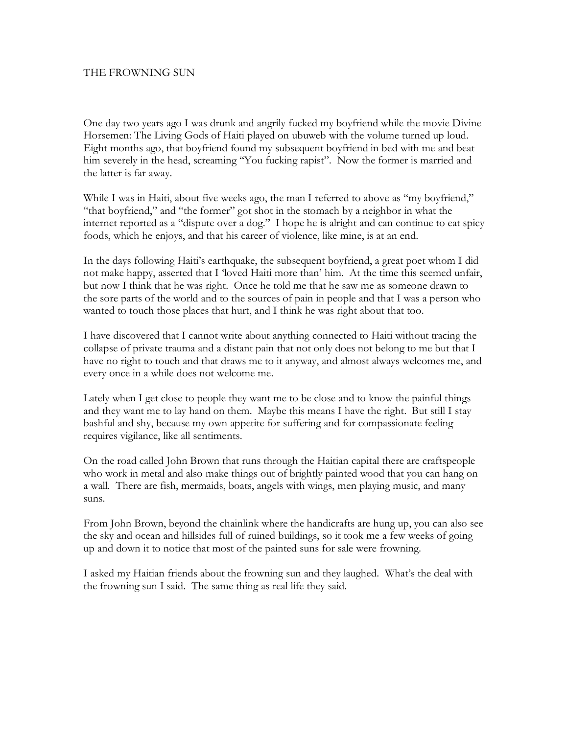## THE FROWNING SUN

One day two years ago I was drunk and angrily fucked my boyfriend while the movie Divine Horsemen: The Living Gods of Haiti played on ubuweb with the volume turned up loud. Eight months ago, that boyfriend found my subsequent boyfriend in bed with me and beat him severely in the head, screaming "You fucking rapist". Now the former is married and the latter is far away.

While I was in Haiti, about five weeks ago, the man I referred to above as "my boyfriend," "that boyfriend," and "the former" got shot in the stomach by a neighbor in what the internet reported as a "dispute over a dog." I hope he is alright and can continue to eat spicy foods, which he enjoys, and that his career of violence, like mine, is at an end.

In the days following Haiti's earthquake, the subsequent boyfriend, a great poet whom I did not make happy, asserted that I 'loved Haiti more than' him. At the time this seemed unfair, but now I think that he was right. Once he told me that he saw me as someone drawn to the sore parts of the world and to the sources of pain in people and that I was a person who wanted to touch those places that hurt, and I think he was right about that too.

I have discovered that I cannot write about anything connected to Haiti without tracing the collapse of private trauma and a distant pain that not only does not belong to me but that I have no right to touch and that draws me to it anyway, and almost always welcomes me, and every once in a while does not welcome me.

Lately when I get close to people they want me to be close and to know the painful things and they want me to lay hand on them. Maybe this means I have the right. But still I stay bashful and shy, because my own appetite for suffering and for compassionate feeling requires vigilance, like all sentiments.

On the road called John Brown that runs through the Haitian capital there are craftspeople who work in metal and also make things out of brightly painted wood that you can hang on a wall. There are fish, mermaids, boats, angels with wings, men playing music, and many suns.

From John Brown, beyond the chainlink where the handicrafts are hung up, you can also see the sky and ocean and hillsides full of ruined buildings, so it took me a few weeks of going up and down it to notice that most of the painted suns for sale were frowning.

I asked my Haitian friends about the frowning sun and they laughed. What's the deal with the frowning sun I said. The same thing as real life they said.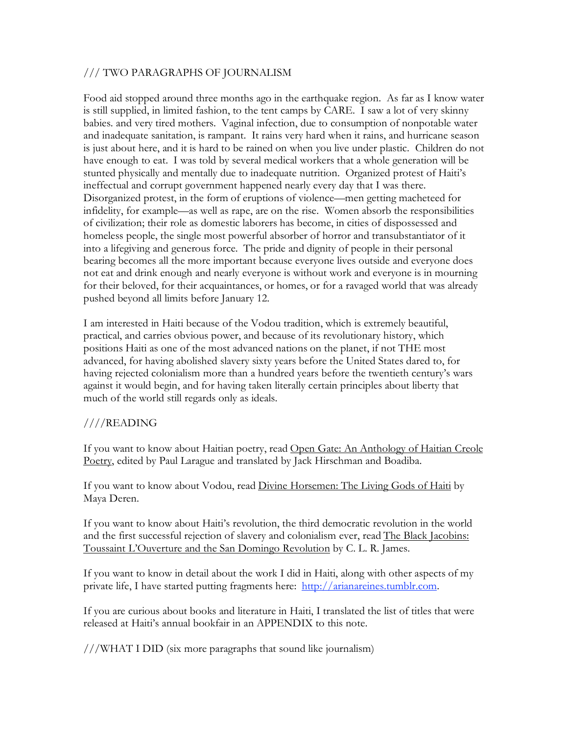## /// TWO PARAGRAPHS OF JOURNALISM

Food aid stopped around three months ago in the earthquake region. As far as I know water is still supplied, in limited fashion, to the tent camps by CARE. I saw a lot of very skinny babies. and very tired mothers. Vaginal infection, due to consumption of nonpotable water and inadequate sanitation, is rampant. It rains very hard when it rains, and hurricane season is just about here, and it is hard to be rained on when you live under plastic. Children do not have enough to eat. I was told by several medical workers that a whole generation will be stunted physically and mentally due to inadequate nutrition. Organized protest of Haiti's ineffectual and corrupt government happened nearly every day that I was there. Disorganized protest, in the form of eruptions of violence—men getting macheteed for infidelity, for example—as well as rape, are on the rise. Women absorb the responsibilities of civilization; their role as domestic laborers has become, in cities of dispossessed and homeless people, the single most powerful absorber of horror and transubstantiator of it into a lifegiving and generous force. The pride and dignity of people in their personal bearing becomes all the more important because everyone lives outside and everyone does not eat and drink enough and nearly everyone is without work and everyone is in mourning for their beloved, for their acquaintances, or homes, or for a ravaged world that was already pushed beyond all limits before January 12.

I am interested in Haiti because of the Vodou tradition, which is extremely beautiful, practical, and carries obvious power, and because of its revolutionary history, which positions Haiti as one of the most advanced nations on the planet, if not THE most advanced, for having abolished slavery sixty years before the United States dared to, for having rejected colonialism more than a hundred years before the twentieth century's wars against it would begin, and for having taken literally certain principles about liberty that much of the world still regards only as ideals.

## ////READING

If you want to know about Haitian poetry, read Open Gate: An Anthology of Haitian Creole Poetry, edited by Paul Larague and translated by Jack Hirschman and Boadiba.

If you want to know about Vodou, read Divine Horsemen: The Living Gods of Haiti by Maya Deren.

If you want to know about Haiti's revolution, the third democratic revolution in the world and the first successful rejection of slavery and colonialism ever, read The Black Jacobins: Toussaint L'Ouverture and the San Domingo Revolution by C. L. R. James.

If you want to know in detail about the work I did in Haiti, along with other aspects of my private life, I have started putting fragments here: http://arianareines.tumblr.com.

If you are curious about books and literature in Haiti, I translated the list of titles that were released at Haiti's annual bookfair in an APPENDIX to this note.

///WHAT I DID (six more paragraphs that sound like journalism)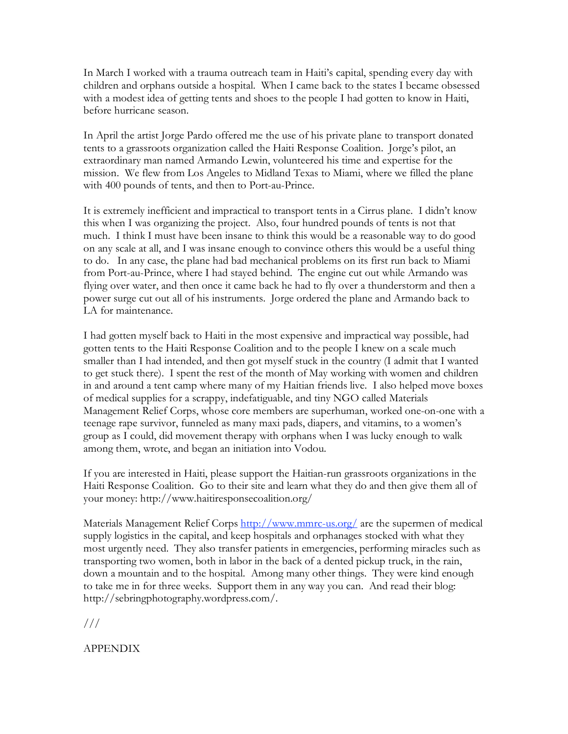In March I worked with a trauma outreach team in Haiti's capital, spending every day with children and orphans outside a hospital. When I came back to the states I became obsessed with a modest idea of getting tents and shoes to the people I had gotten to know in Haiti, before hurricane season.

In April the artist Jorge Pardo offered me the use of his private plane to transport donated tents to a grassroots organization called the Haiti Response Coalition. Jorge's pilot, an extraordinary man named Armando Lewin, volunteered his time and expertise for the mission. We flew from Los Angeles to Midland Texas to Miami, where we filled the plane with 400 pounds of tents, and then to Port-au-Prince.

It is extremely inefficient and impractical to transport tents in a Cirrus plane. I didn't know this when I was organizing the project. Also, four hundred pounds of tents is not that much. I think I must have been insane to think this would be a reasonable way to do good on any scale at all, and I was insane enough to convince others this would be a useful thing to do. In any case, the plane had bad mechanical problems on its first run back to Miami from Port-au-Prince, where I had stayed behind. The engine cut out while Armando was flying over water, and then once it came back he had to fly over a thunderstorm and then a power surge cut out all of his instruments. Jorge ordered the plane and Armando back to LA for maintenance.

I had gotten myself back to Haiti in the most expensive and impractical way possible, had gotten tents to the Haiti Response Coalition and to the people I knew on a scale much smaller than I had intended, and then got myself stuck in the country (I admit that I wanted to get stuck there). I spent the rest of the month of May working with women and children in and around a tent camp where many of my Haitian friends live. I also helped move boxes of medical supplies for a scrappy, indefatiguable, and tiny NGO called Materials Management Relief Corps, whose core members are superhuman, worked one-on-one with a teenage rape survivor, funneled as many maxi pads, diapers, and vitamins, to a women's group as I could, did movement therapy with orphans when I was lucky enough to walk among them, wrote, and began an initiation into Vodou.

If you are interested in Haiti, please support the Haitian-run grassroots organizations in the Haiti Response Coalition. Go to their site and learn what they do and then give them all of your money: http://www.haitiresponsecoalition.org/

Materials Management Relief Corps http://www.mmrc-us.org/ are the supermen of medical supply logistics in the capital, and keep hospitals and orphanages stocked with what they most urgently need. They also transfer patients in emergencies, performing miracles such as transporting two women, both in labor in the back of a dented pickup truck, in the rain, down a mountain and to the hospital. Among many other things. They were kind enough to take me in for three weeks. Support them in any way you can. And read their blog: http://sebringphotography.wordpress.com/.

///

APPENDIX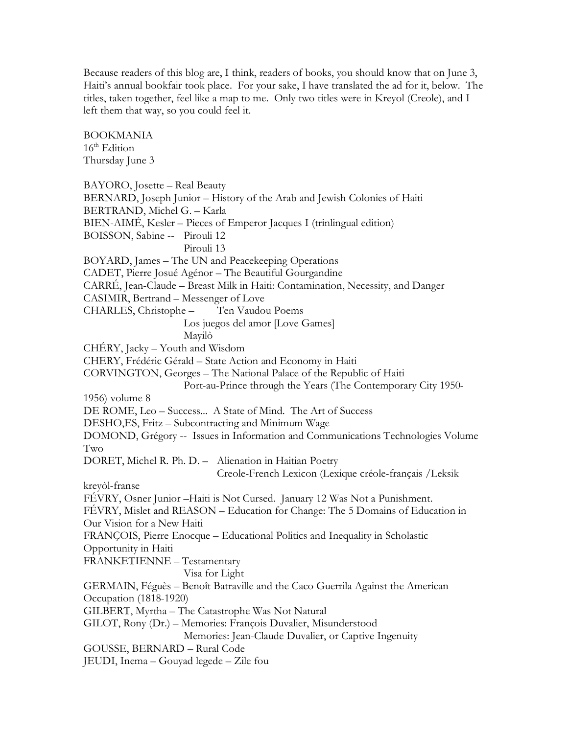Because readers of this blog are, I think, readers of books, you should know that on June 3, Haiti's annual bookfair took place. For your sake, I have translated the ad for it, below. The titles, taken together, feel like a map to me. Only two titles were in Kreyol (Creole), and I left them that way, so you could feel it.

BOOKMANIA  $16<sup>th</sup>$  Edition Thursday June 3 BAYORO, Josette – Real Beauty BERNARD, Joseph Junior – History of the Arab and Jewish Colonies of Haiti BERTRAND, Michel G. – Karla BIEN-AIMÉ, Kesler – Pieces of Emperor Jacques I (trinlingual edition) BOISSON, Sabine -- Pirouli 12 Pirouli 13 BOYARD, James – The UN and Peacekeeping Operations CADET, Pierre Josué Agénor – The Beautiful Gourgandine CARRÉ, Jean-Claude – Breast Milk in Haiti: Contamination, Necessity, and Danger CASIMIR, Bertrand – Messenger of Love CHARLES, Christophe – Ten Vaudou Poems Los juegos del amor [Love Games] Mayilò CHÉRY, Jacky – Youth and Wisdom CHERY, Frédéric Gérald – State Action and Economy in Haiti CORVINGTON, Georges – The National Palace of the Republic of Haiti Port-au-Prince through the Years (The Contemporary City 1950- 1956) volume 8 DE ROME, Leo – Success... A State of Mind. The Art of Success DESHO,ES, Fritz – Subcontracting and Minimum Wage DOMOND, Grégory -- Issues in Information and Communications Technologies Volume Two DORET, Michel R. Ph. D. – Alienation in Haitian Poetry Creole-French Lexicon (Lexique créole-français /Leksik kreyòl-franse FÉVRY, Osner Junior –Haiti is Not Cursed. January 12 Was Not a Punishment. FÉVRY, Mislet and REASON – Education for Change: The 5 Domains of Education in Our Vision for a New Haiti FRANÇOIS, Pierre Enocque – Educational Politics and Inequality in Scholastic Opportunity in Haiti FRANKETIENNE – Testamentary Visa for Light GERMAIN, Féguès – Benoît Batraville and the Caco Guerrila Against the American Occupation (1818-1920) GILBERT, Myrtha – The Catastrophe Was Not Natural GILOT, Rony (Dr.) – Memories: François Duvalier, Misunderstood Memories: Jean-Claude Duvalier, or Captive Ingenuity GOUSSE, BERNARD – Rural Code JEUDI, Inema – Gouyad legede – Zile fou